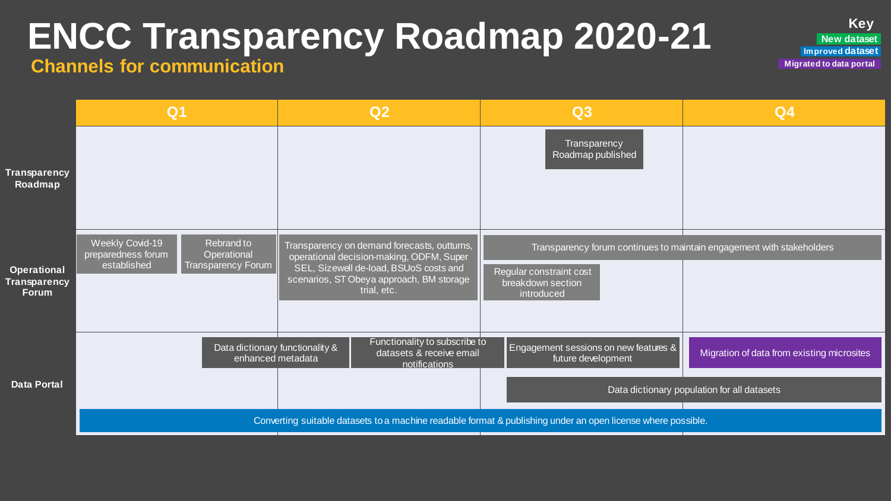# **ENCC Transparency Roadmap 2020-21**

**Channels for communication**

|                                                             | Q <sub>1</sub>                                                                                                              | Q <sub>2</sub>                                                                                                                                                                               | Q3                                                          | Q <sub>4</sub>                                                        |
|-------------------------------------------------------------|-----------------------------------------------------------------------------------------------------------------------------|----------------------------------------------------------------------------------------------------------------------------------------------------------------------------------------------|-------------------------------------------------------------|-----------------------------------------------------------------------|
| <b>Transparency</b><br>Roadmap                              |                                                                                                                             |                                                                                                                                                                                              | Transparency<br>Roadmap published                           |                                                                       |
| <b>Operational</b><br>Transparency <b>i</b><br><b>Forum</b> | <b>Weekly Covid-19</b><br>Rebrand to<br>Operational<br>preparedness forum<br>established<br>Transparency Forum <sup>'</sup> | Transparency on demand forecasts, outturns,<br>operational decision-making, ODFM, Super<br>SEL, Sizewell de-load, BSUoS costs and<br>scenarios, ST Obeya approach, BM storage<br>trial, etc. | Regular constraint cost<br>breakdown section<br>introduced  | Transparency forum continues to maintain engagement with stakeholders |
| <b>Data Portal</b>                                          | Data dictionary functionality &<br>enhanced metadata                                                                        | Functionality to subscribe to<br>datasets & receive email<br>notifications                                                                                                                   | Engagement sessions on new features &<br>future development | Migration of data from existing microsites                            |
|                                                             |                                                                                                                             |                                                                                                                                                                                              |                                                             | Data dictionary population for all datasets                           |
|                                                             | Converting suitable datasets to a machine readable format & publishing under an open license where possible.                |                                                                                                                                                                                              |                                                             |                                                                       |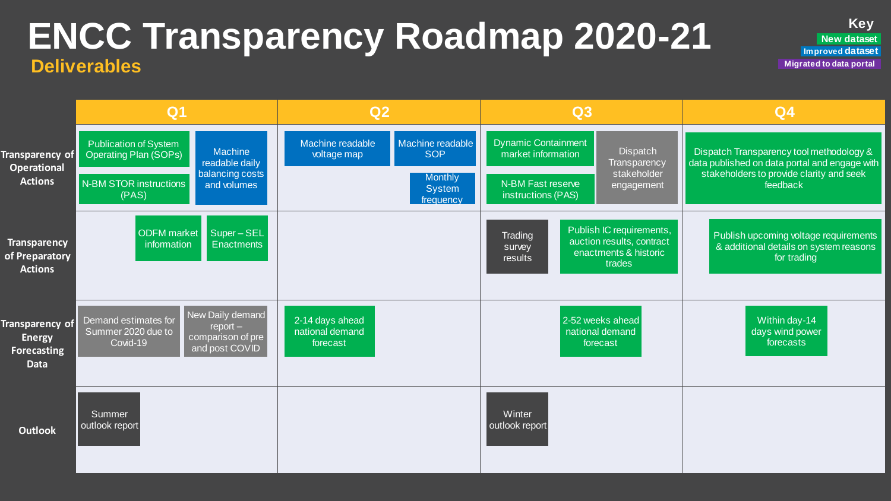### **ENCC Transparency Roadmap 2020-21 Deliverables**

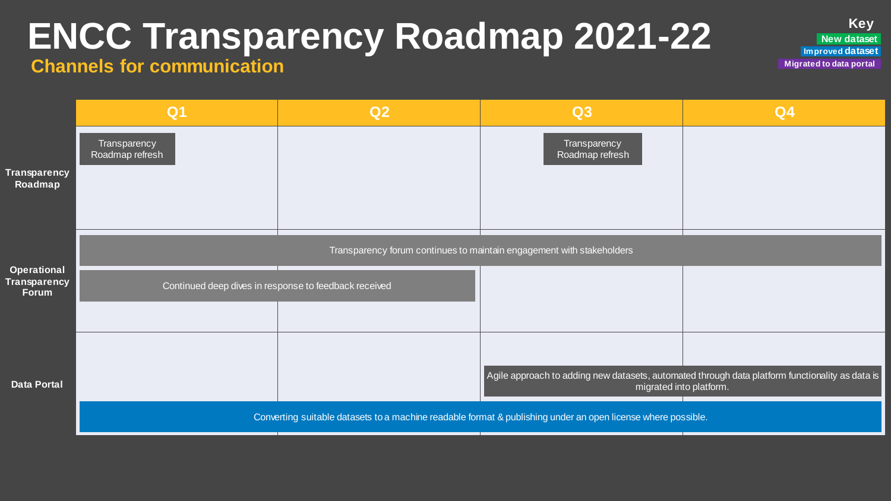# **ENCC Transparency Roadmap 2021-22**

#### **Channels for communication**

|                                                    | Q <sub>1</sub>                                                                                                                          | Q2 | Q3                              | Q <sub>4</sub>                                                                                  |  |
|----------------------------------------------------|-----------------------------------------------------------------------------------------------------------------------------------------|----|---------------------------------|-------------------------------------------------------------------------------------------------|--|
| <b>Transparency</b><br>Roadmap                     | Transparency<br>Roadmap refresh                                                                                                         |    | Transparency<br>Roadmap refresh |                                                                                                 |  |
| <b>Operational</b><br><b>Transparency</b><br>Forum | Transparency forum continues to maintain engagement with stakeholders                                                                   |    |                                 |                                                                                                 |  |
|                                                    | Continued deep dives in response to feedback received                                                                                   |    |                                 |                                                                                                 |  |
| <b>Data Portal</b>                                 |                                                                                                                                         |    |                                 |                                                                                                 |  |
|                                                    |                                                                                                                                         |    |                                 | Agile approach to adding new datasets, automated through data platform functionality as data is |  |
|                                                    | migrated into platform.<br>Converting suitable datasets to a machine readable format & publishing under an open license where possible. |    |                                 |                                                                                                 |  |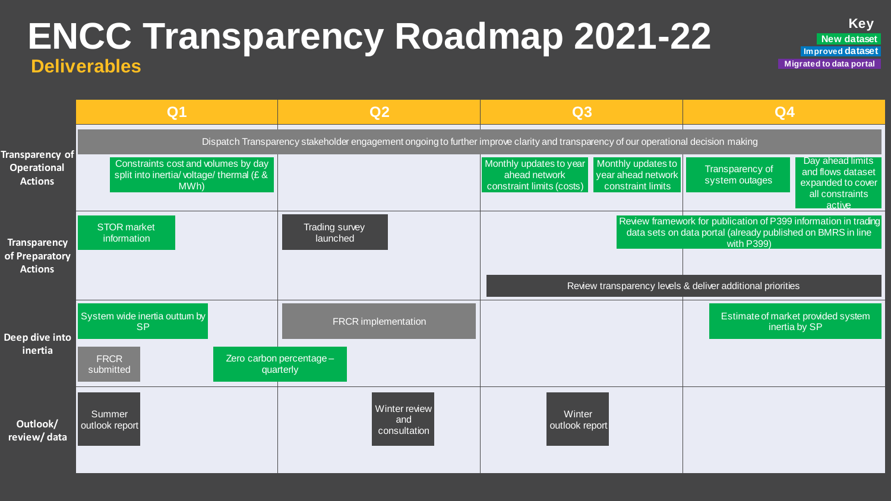### **ENCC Transparency Roadmap 2021-22 Deliverables**

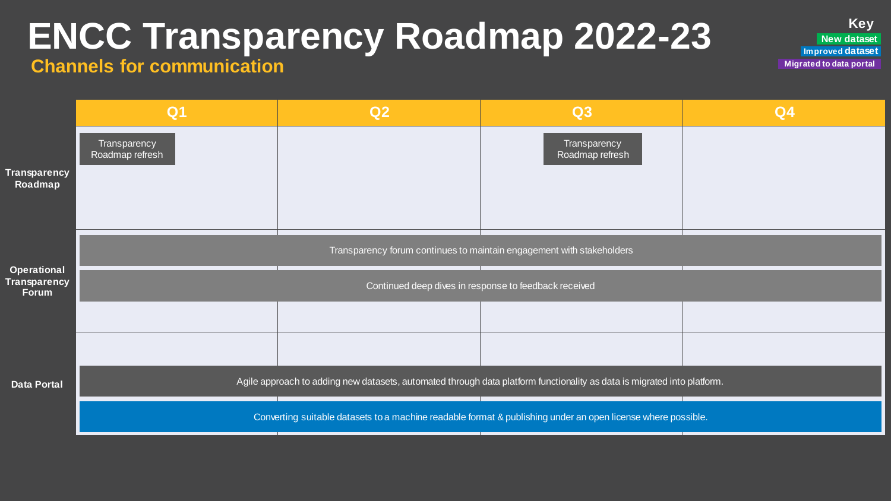# **ENCC Transparency Roadmap 2022-23**

#### **Channels for communication**

|                                                    | Q <sub>1</sub>                                                                                               | Q2                                                                                                                      | Q3                                                                                                                             | Q4 |  |
|----------------------------------------------------|--------------------------------------------------------------------------------------------------------------|-------------------------------------------------------------------------------------------------------------------------|--------------------------------------------------------------------------------------------------------------------------------|----|--|
| Transparency<br>Roadmap                            | Transparency<br>Roadmap refresh                                                                              |                                                                                                                         | Transparency<br>Roadmap refresh                                                                                                |    |  |
| <b>Operational</b><br><b>Transparency</b><br>Forum |                                                                                                              |                                                                                                                         | Transparency forum continues to maintain engagement with stakeholders<br>Continued deep dives in response to feedback received |    |  |
| <b>Data Portal</b>                                 |                                                                                                              | Agile approach to adding new datasets, automated through data platform functionality as data is migrated into platform. |                                                                                                                                |    |  |
|                                                    | Converting suitable datasets to a machine readable format & publishing under an open license where possible. |                                                                                                                         |                                                                                                                                |    |  |